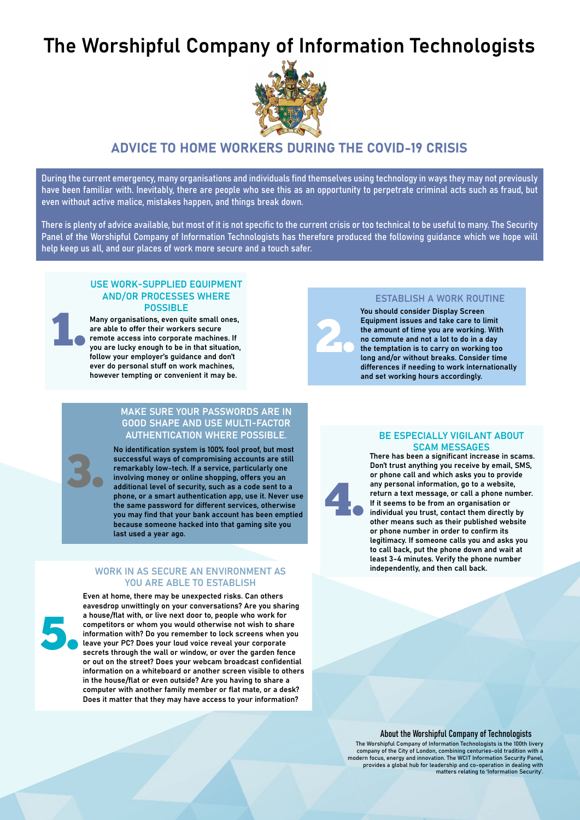# The Worshipful Company of Information Technologists



## ADVICE TO HOME WORKERS DURING THE COVID-19 CRISIS

During the current emergency, many organisations and individuals find themselves using technology in ways they may not previously have been familiar with. Inevitably, there are people who see this as an opportunity to perpetrate criminal acts such as fraud, but even without active malice, mistakes happen, and things break down.

There is plenty of advice available, but most of it is not specific to the current crisis or too technical to be useful to many. The Security Panel of the Worshipful Company of Information Technologists has therefore produced the following guidance which we hope will help keep us all, and our places of work more secure and a touch safer.

## USE WORK-SUPPLIED EQUIPMENT AND/OR PROCESSES WHERE **POSSIBLE**

Many organisations, even quite small ones, are able to offer their workers secure remote access into corporate machines. If you are lucky enough to be in that situation, follow your employer's guidance and don't ever do personal stuff on work machines, however tempting or convenient it may be.

## MAKE SURE YOUR PASSWORDS ARE IN GOOD SHAPE AND USE MULTI-FACTOR AUTHENTICATION WHERE POSSIBLE.

No identification system is 100% fool proof, but most successful ways of compromising accounts are still remarkably low-tech. If a service, particularly one involving money or online shopping, offers you an additional level of security, such as a code sent to a phone, or a smart authentication app, use it. Never use the same password for different services, otherwise you may find that your bank account has been emptied because someone hacked into that gaming site you last used a year ago.

### WORK IN AS SECURE AN ENVIRONMENT AS YOU ARE ABLE TO ESTABLISH

5.

1.

3.

Even at home, there may be unexpected risks. Can others eavesdrop unwittingly on your conversations? Are you sharing a house/flat with, or live next door to, people who work for competitors or whom you would otherwise not wish to share information with? Do you remember to lock screens when you leave your PC? Does your loud voice reveal your corporate secrets through the wall or window, or over the garden fence or out on the street? Does your webcam broadcast confidential information on a whiteboard or another screen visible to others in the house/flat or even outside? Are you having to share a computer with another family member or flat mate, or a desk? Does it matter that they may have access to your information?



4.

## ESTABLISH A WORK ROUTINE

You should consider Display Screen Equipment issues and take care to limit the amount of time you are working. With no commute and not a lot to do in a day the temptation is to carry on working too long and/or without breaks. Consider time differences if needing to work internationally and set working hours accordingly.

## BE ESPECIALLY VIGILANT ABOUT SCAM MESSAGES

There has been a significant increase in scams. Don't trust anything you receive by email, SMS, or phone call and which asks you to provide any personal information, go to a website, return a text message, or call a phone number. If it seems to be from an organisation or individual you trust, contact them directly by other means such as their published website or phone number in order to confirm its legitimacy. If someone calls you and asks you to call back, put the phone down and wait at least 3-4 minutes. Verify the phone number independently, and then call back.

#### About the Worshipful Company of Technologists

The Worshipful Company of Information Technologists is the 100th livery<br>company of the City of London, combining centuries-old tradition with a<br>modern focus, energy and innovation. The WCIT Information Security Panel,<br>prov matters relating to 'Information Security'.